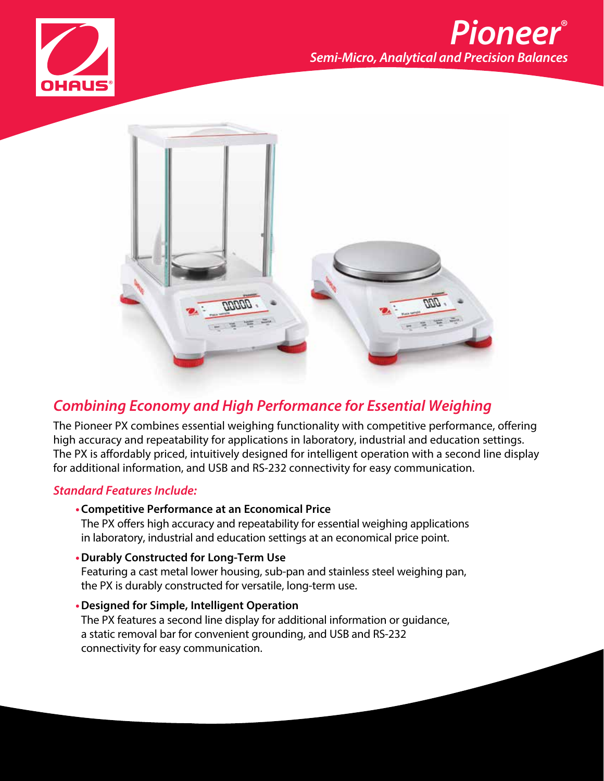



### *Combining Economy and High Performance for Essential Weighing*

The Pioneer PX combines essential weighing functionality with competitive performance, offering high accuracy and repeatability for applications in laboratory, industrial and education settings. The PX is affordably priced, intuitively designed for intelligent operation with a second line display for additional information, and USB and RS-232 connectivity for easy communication.

#### *Standard Features Include:*

- **•Competitive Performance at an Economical Price** The PX offers high accuracy and repeatability for essential weighing applications in laboratory, industrial and education settings at an economical price point.
- **•Durably Constructed for Long-Term Use** Featuring a cast metal lower housing, sub-pan and stainless steel weighing pan, the PX is durably constructed for versatile, long-term use.
- **•Designed for Simple, Intelligent Operation** The PX features a second line display for additional information or guidance, a static removal bar for convenient grounding, and USB and RS-232 connectivity for easy communication.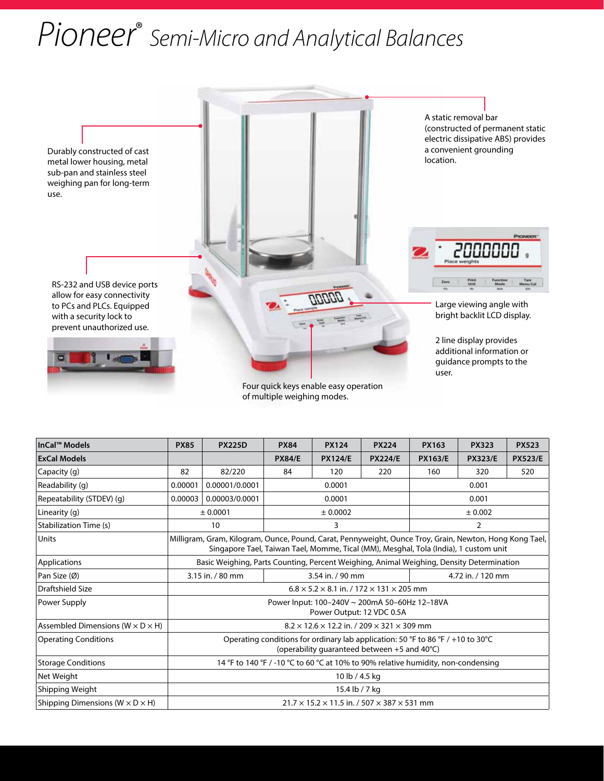# *Pioneer*® *Semi-Micro and Analytical Balances*



Four quick keys enable easy operation of multiple weighing modes.

| InCal™ Models                                  | <b>PX85</b>                                                                                                                                                                                     | <b>PX225D</b>  | <b>PX84</b>   | <b>PX124</b>   | <b>PX224</b>      | <b>PX163</b>   | <b>PX323</b>   | <b>PX523</b>   |
|------------------------------------------------|-------------------------------------------------------------------------------------------------------------------------------------------------------------------------------------------------|----------------|---------------|----------------|-------------------|----------------|----------------|----------------|
| <b>ExCal Models</b>                            |                                                                                                                                                                                                 |                | <b>PX84/E</b> | <b>PX124/E</b> | <b>PX224/E</b>    | <b>PX163/E</b> | <b>PX323/E</b> | <b>PX523/E</b> |
| Capacity (g)                                   | 82                                                                                                                                                                                              | 82/220         | 84            | 120            | 220               | 160            | 320            | 520            |
| Readability (g)                                | 0.00001                                                                                                                                                                                         | 0.00001/0.0001 | 0.0001        |                | 0.001             |                |                |                |
| Repeatability (STDEV) (q)                      | 0.00003                                                                                                                                                                                         | 0.00003/0.0001 | 0.0001        |                | 0.001             |                |                |                |
| Linearity (g)                                  |                                                                                                                                                                                                 | ± 0.0001       | ± 0.0002      |                | ± 0.002           |                |                |                |
| Stabilization Time (s)                         |                                                                                                                                                                                                 | 10             | 3             |                | 2                 |                |                |                |
| Units                                          | Milligram, Gram, Kilogram, Ounce, Pound, Carat, Pennyweight, Ounce Troy, Grain, Newton, Hong Kong Tael,<br>Singapore Tael, Taiwan Tael, Momme, Tical (MM), Mesghal, Tola (India), 1 custom unit |                |               |                |                   |                |                |                |
| Applications                                   | Basic Weighing, Parts Counting, Percent Weighing, Animal Weighing, Density Determination                                                                                                        |                |               |                |                   |                |                |                |
| Pan Size (Ø)                                   | 3.15 in. / 80 mm<br>3.54 in. / 90 mm                                                                                                                                                            |                |               |                | 4.72 in. / 120 mm |                |                |                |
| Draftshield Size                               | $6.8 \times 5.2 \times 8.1$ in. / 172 $\times$ 131 $\times$ 205 mm                                                                                                                              |                |               |                |                   |                |                |                |
| Power Supply                                   | Power Input: 100-240V ~ 200mA 50-60Hz 12-18VA<br>Power Output: 12 VDC 0.5A                                                                                                                      |                |               |                |                   |                |                |                |
| Assembled Dimensions ( $W \times D \times H$ ) | $8.2 \times 12.6 \times 12.2$ in. / 209 $\times$ 321 $\times$ 309 mm                                                                                                                            |                |               |                |                   |                |                |                |
| <b>Operating Conditions</b>                    | Operating conditions for ordinary lab application: 50 °F to 86 °F / +10 to 30 °C<br>(operability quaranteed between +5 and 40°C)                                                                |                |               |                |                   |                |                |                |
| <b>Storage Conditions</b>                      | 14 °F to 140 °F / -10 °C to 60 °C at 10% to 90% relative humidity, non-condensing                                                                                                               |                |               |                |                   |                |                |                |
| Net Weight                                     | 10 lb / 4.5 kg                                                                                                                                                                                  |                |               |                |                   |                |                |                |
| Shipping Weight                                | 15.4 lb / 7 kg                                                                                                                                                                                  |                |               |                |                   |                |                |                |
| Shipping Dimensions ( $W \times D \times H$ )  | $21.7 \times 15.2 \times 11.5$ in. / 507 $\times$ 387 $\times$ 531 mm                                                                                                                           |                |               |                |                   |                |                |                |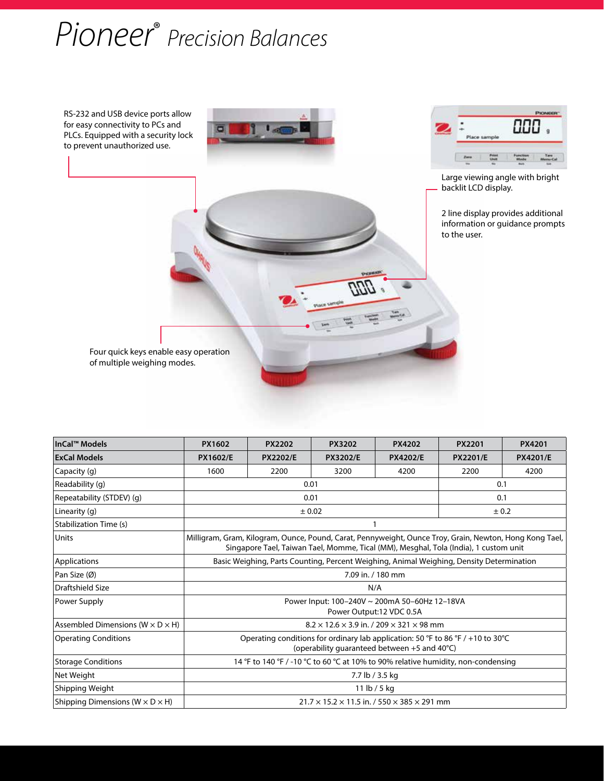# *Pioneer*® *Precision Balances*



| InCal™ Models                                  | PX1602                                                                                                                                                                                          | <b>PX2202</b>   | <b>PX3202</b>   | <b>PX4202</b>   | <b>PX2201</b>   | PX4201          |
|------------------------------------------------|-------------------------------------------------------------------------------------------------------------------------------------------------------------------------------------------------|-----------------|-----------------|-----------------|-----------------|-----------------|
| <b>ExCal Models</b>                            | <b>PX1602/E</b>                                                                                                                                                                                 | <b>PX2202/E</b> | <b>PX3202/E</b> | <b>PX4202/E</b> | <b>PX2201/E</b> | <b>PX4201/E</b> |
| Capacity (g)                                   | 1600                                                                                                                                                                                            | 2200            | 3200            | 4200            | 2200            | 4200            |
| Readability (g)                                |                                                                                                                                                                                                 | 0.01            | 0.1             |                 |                 |                 |
| Repeatability (STDEV) (g)                      |                                                                                                                                                                                                 | 0.01            | 0.1             |                 |                 |                 |
| Linearity (g)                                  |                                                                                                                                                                                                 | ± 0.02          | ± 0.2           |                 |                 |                 |
| Stabilization Time (s)                         |                                                                                                                                                                                                 |                 |                 |                 |                 |                 |
| Units                                          | Milligram, Gram, Kilogram, Ounce, Pound, Carat, Pennyweight, Ounce Troy, Grain, Newton, Hong Kong Tael,<br>Singapore Tael, Taiwan Tael, Momme, Tical (MM), Mesghal, Tola (India), 1 custom unit |                 |                 |                 |                 |                 |
| Applications                                   | Basic Weighing, Parts Counting, Percent Weighing, Animal Weighing, Density Determination                                                                                                        |                 |                 |                 |                 |                 |
| Pan Size (Ø)                                   | 7.09 in. / 180 mm                                                                                                                                                                               |                 |                 |                 |                 |                 |
| Draftshield Size                               | N/A                                                                                                                                                                                             |                 |                 |                 |                 |                 |
| Power Supply                                   | Power Input: 100-240V ~ 200mA 50-60Hz 12-18VA<br>Power Output:12 VDC 0.5A                                                                                                                       |                 |                 |                 |                 |                 |
| Assembled Dimensions ( $W \times D \times H$ ) | $8.2 \times 12.6 \times 3.9$ in. / 209 $\times$ 321 $\times$ 98 mm                                                                                                                              |                 |                 |                 |                 |                 |
| <b>Operating Conditions</b>                    | Operating conditions for ordinary lab application: 50 °F to 86 °F / +10 to 30 °C<br>(operability guaranteed between +5 and 40°C)                                                                |                 |                 |                 |                 |                 |
| <b>Storage Conditions</b>                      | 14 °F to 140 °F / -10 °C to 60 °C at 10% to 90% relative humidity, non-condensing                                                                                                               |                 |                 |                 |                 |                 |
| Net Weight                                     | 7.7 lb / 3.5 kg                                                                                                                                                                                 |                 |                 |                 |                 |                 |
| Shipping Weight                                | 11 lb / 5 kg                                                                                                                                                                                    |                 |                 |                 |                 |                 |
| Shipping Dimensions ( $W \times D \times H$ )  | $21.7 \times 15.2 \times 11.5$ in. $/ 550 \times 385 \times 291$ mm                                                                                                                             |                 |                 |                 |                 |                 |